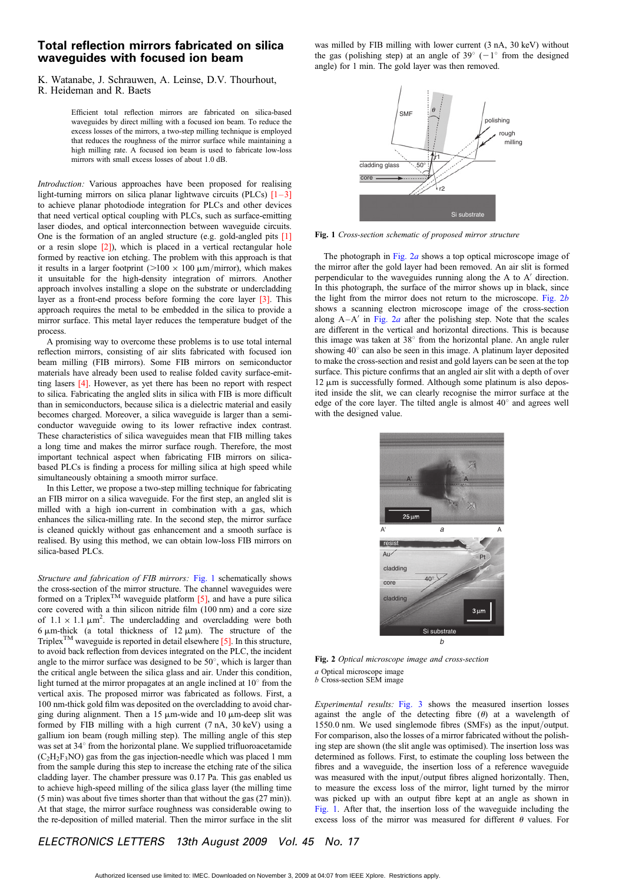## Total reflection mirrors fabricated on silica waveguides with focused ion beam

K. Watanabe, J. Schrauwen, A. Leinse, D.V. Thourhout,

Efficient total reflection mirrors are fabricated on silica-based waveguides by direct milling with a focused ion beam. To reduce the excess losses of the mirrors, a two-step milling technique is employed that reduces the roughness of the mirror surface while maintaining a high milling rate. A focused ion beam is used to fabricate low-loss mirrors with small excess losses of about 1.0 dB.

Introduction: Various approaches have been proposed for realising light-turning mirrors on silica planar lightwave circuits (PLCs)  $[1-3]$ to achieve planar photodiode integration for PLCs and other devices that need vertical optical coupling with PLCs, such as surface-emitting laser diodes, and optical interconnection between waveguide circuits. One is the formation of an angled structure (e.g. gold-angled pits [1] or a resin slope  $[2]$ ), which is placed in a vertical rectangular hole formed by reactive ion etching. The problem with this approach is that it results in a larger footprint ( $>100 \times 100 \mu m/m$ irror), which makes it unsuitable for the high-density integration of mirrors. Another approach involves installing a slope on the substrate or undercladding layer as a front-end process before forming the core layer [3]. This approach requires the metal to be embedded in the silica to provide a mirror surface. This metal layer reduces the temperature budget of the process.

A promising way to overcome these problems is to use total internal reflection mirrors, consisting of air slits fabricated with focused ion beam milling (FIB mirrors). Some FIB mirrors on semiconductor materials have already been used to realise folded cavity surface-emitting lasers [4]. However, as yet there has been no report with respect to silica. Fabricating the angled slits in silica with FIB is more difficult than in semiconductors, because silica is a dielectric material and easily becomes charged. Moreover, a silica waveguide is larger than a semiconductor waveguide owing to its lower refractive index contrast. These characteristics of silica waveguides mean that FIB milling takes a long time and makes the mirror surface rough. Therefore, the most important technical aspect when fabricating FIB mirrors on silicabased PLCs is finding a process for milling silica at high speed while simultaneously obtaining a smooth mirror surface.

In this Letter, we propose a two-step milling technique for fabricating an FIB mirror on a silica waveguide. For the first step, an angled slit is milled with a high ion-current in combination with a gas, which enhances the silica-milling rate. In the second step, the mirror surface is cleaned quickly without gas enhancement and a smooth surface is realised. By using this method, we can obtain low-loss FIB mirrors on silica-based PLCs.

Structure and fabrication of FIB mirrors: Fig. 1 schematically shows the cross-section of the mirror structure. The channel waveguides were formed on a Triplex<sup>TM</sup> waveguide platform  $[5]$ , and have a pure silica core covered with a thin silicon nitride film (100 nm) and a core size of  $1.1 \times 1.1 \mu m^2$ . The undercladding and overcladding were both 6  $\mu$ m-thick (a total thickness of 12  $\mu$ m). The structure of the Triplex<sup>TM</sup> waveguide is reported in detail elsewhere  $[5]$ . In this structure, to avoid back reflection from devices integrated on the PLC, the incident angle to the mirror surface was designed to be  $50^{\circ}$ , which is larger than the critical angle between the silica glass and air. Under this condition, light turned at the mirror propagates at an angle inclined at  $10^{\circ}$  from the vertical axis. The proposed mirror was fabricated as follows. First, a 100 nm-thick gold film was deposited on the overcladding to avoid charging during alignment. Then a 15  $\mu$ m-wide and 10  $\mu$ m-deep slit was formed by FIB milling with a high current (7 nA, 30 keV) using a gallium ion beam (rough milling step). The milling angle of this step was set at 34° from the horizontal plane. We supplied trifluoroacetamide  $(C<sub>2</sub>H<sub>2</sub>F<sub>3</sub>NO)$  gas from the gas injection-needle which was placed 1 mm from the sample during this step to increase the etching rate of the silica cladding layer. The chamber pressure was 0.17 Pa. This gas enabled us to achieve high-speed milling of the silica glass layer (the milling time (5 min) was about five times shorter than that without the gas (27 min)). At that stage, the mirror surface roughness was considerable owing to the re-deposition of milled material. Then the mirror surface in the slit was milled by FIB milling with lower current (3 nA, 30 keV) without the gas (polishing step) at an angle of  $39^{\circ}$  (-1° from the designed angle) for 1 min. The gold layer was then removed.



Fig. 1 Cross-section schematic of proposed mirror structure

The photograph in Fig. 2a shows a top optical microscope image of the mirror after the gold layer had been removed. An air slit is formed perpendicular to the waveguides running along the  $A$  to  $A'$  direction. In this photograph, the surface of the mirror shows up in black, since the light from the mirror does not return to the microscope. Fig.  $2b$ shows a scanning electron microscope image of the cross-section along  $A - A'$  in Fig. 2a after the polishing step. Note that the scales are different in the vertical and horizontal directions. This is because this image was taken at  $38^\circ$  from the horizontal plane. An angle ruler showing  $40^\circ$  can also be seen in this image. A platinum layer deposited to make the cross-section and resist and gold layers can be seen at the top surface. This picture confirms that an angled air slit with a depth of over  $12 \mu m$  is successfully formed. Although some platinum is also deposited inside the slit, we can clearly recognise the mirror surface at the edge of the core layer. The tilted angle is almost  $40^{\circ}$  and agrees well with the designed value.



Fig. 2 Optical microscope image and cross-section a Optical microscope image b Cross-section SEM image

Experimental results: Fig. 3 shows the measured insertion losses against the angle of the detecting fibre  $(\theta)$  at a wavelength of 1550.0 nm. We used singlemode fibres (SMFs) as the input/output. For comparison, also the losses of a mirror fabricated without the polishing step are shown (the slit angle was optimised). The insertion loss was determined as follows. First, to estimate the coupling loss between the fibres and a waveguide, the insertion loss of a reference waveguide was measured with the input/output fibres aligned horizontally. Then, to measure the excess loss of the mirror, light turned by the mirror was picked up with an output fibre kept at an angle as shown in Fig. 1. After that, the insertion loss of the waveguide including the excess loss of the mirror was measured for different  $\theta$  values. For

## ELECTRONICS LETTERS 13th August 2009 Vol. 45 No. 17

R. Heideman and R. Baets